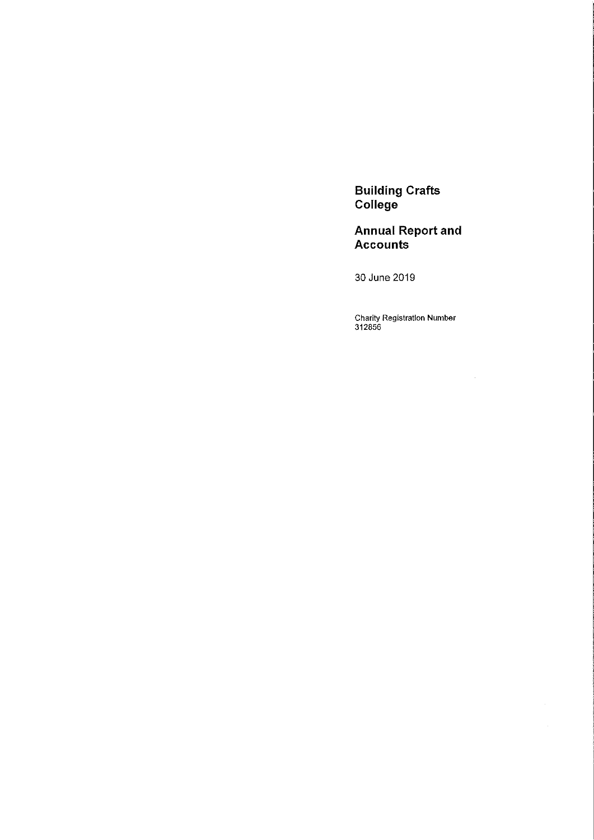Building Crafts College

Annual Report and Accounts

30 June 2019

Charity Registration Number 312856

 $\mathcal{A}^{\mathcal{A}}$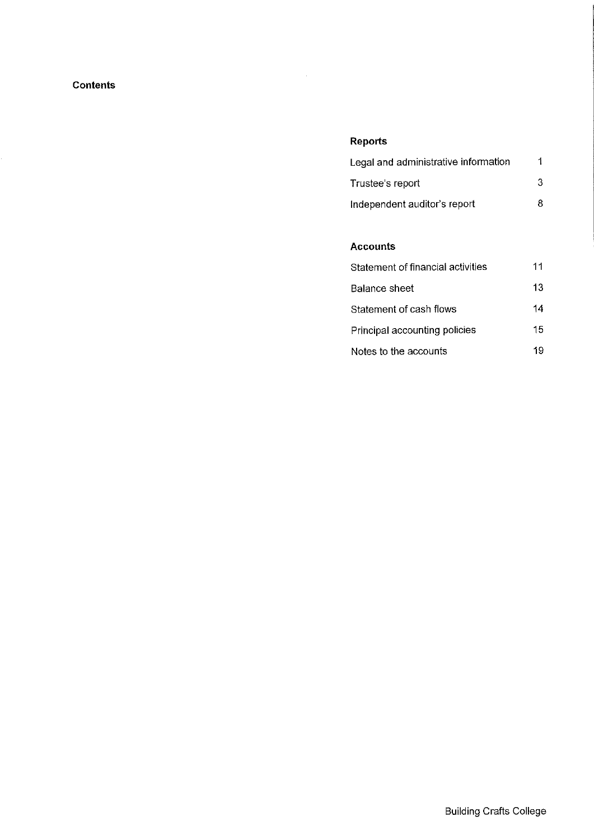## Contents

## Reports

| Legal and administrative information |     |
|--------------------------------------|-----|
| Trustee's report                     | -3. |
| Independent auditor's report         | 8.  |

## Accounts

| Statement of financial activities | 11 |
|-----------------------------------|----|
| Balance sheet                     | 13 |
| Statement of cash flows           | 14 |
| Principal accounting policies     | 15 |
| Notes to the accounts             | 19 |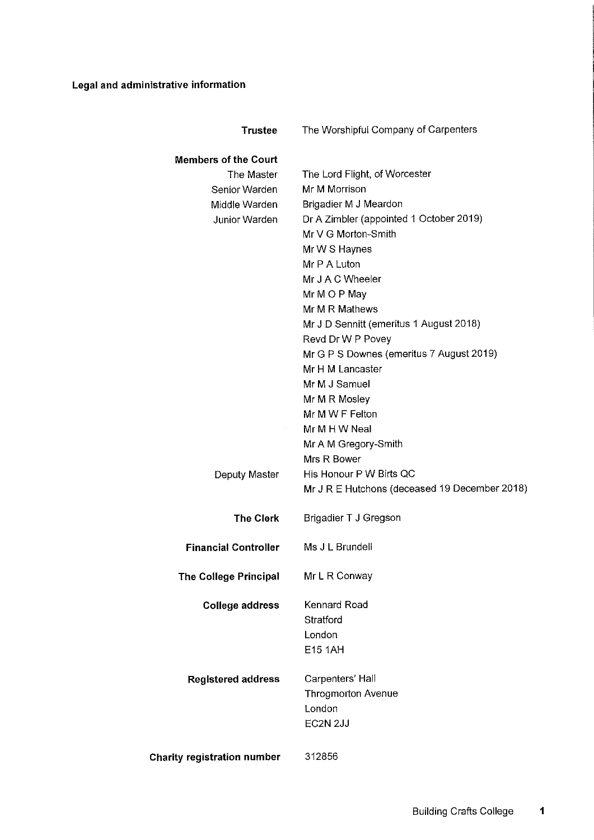## Legal and administrative information

| <b>Trustee</b>                     | The Worshipful Company of Carpenters          |
|------------------------------------|-----------------------------------------------|
| <b>Members of the Court</b>        |                                               |
| The Master                         | The Lord Flight, of Worcester                 |
| Senior Warden                      | Mr M Morrison                                 |
| Middle Warden                      | Brigadier M J Meardon                         |
| <b>Junior Warden</b>               | Dr A Zimbler (appointed 1 October 2019)       |
|                                    | Mr V G Morton-Smith                           |
|                                    | Mr W S Haynes                                 |
|                                    | Mr P A Luton                                  |
|                                    | Mr J A C Wheeler                              |
|                                    | Mr M O P May                                  |
|                                    | Mr M R Mathews                                |
|                                    | Mr J D Sennitt (emeritus 1 August 2018)       |
|                                    | Revd Dr W P Povey                             |
|                                    | Mr G P S Downes (emeritus 7 August 2019)      |
|                                    | Mr H M Lancaster                              |
|                                    | Mr M J Samuel                                 |
|                                    | Mr M R Mosley                                 |
|                                    | Mr M W F Felton                               |
|                                    | Mr M H W Neal                                 |
|                                    | Mr A M Gregory-Smith                          |
|                                    | Mrs R Bower                                   |
| Deputy Master                      | His Honour P W Birts QC                       |
|                                    | Mr J R E Hutchons (deceased 19 December 2018) |
|                                    |                                               |
| <b>The Clerk</b>                   | Brigadier T J Gregson                         |
| <b>Financial Controller</b>        | Ms J L Brundell                               |
| <b>The College Principal</b>       | Mr L R Conway                                 |
|                                    |                                               |
| <b>College address</b>             | Kennard Road                                  |
|                                    | Stratford                                     |
|                                    | London                                        |
|                                    | <b>E15 1AH</b>                                |
| <b>Registered address</b>          | Carpenters' Hall                              |
|                                    | <b>Throgmorton Avenue</b>                     |
|                                    | London                                        |
|                                    | EC2N 2JJ                                      |
|                                    |                                               |
| <b>Charity registration number</b> | 312856                                        |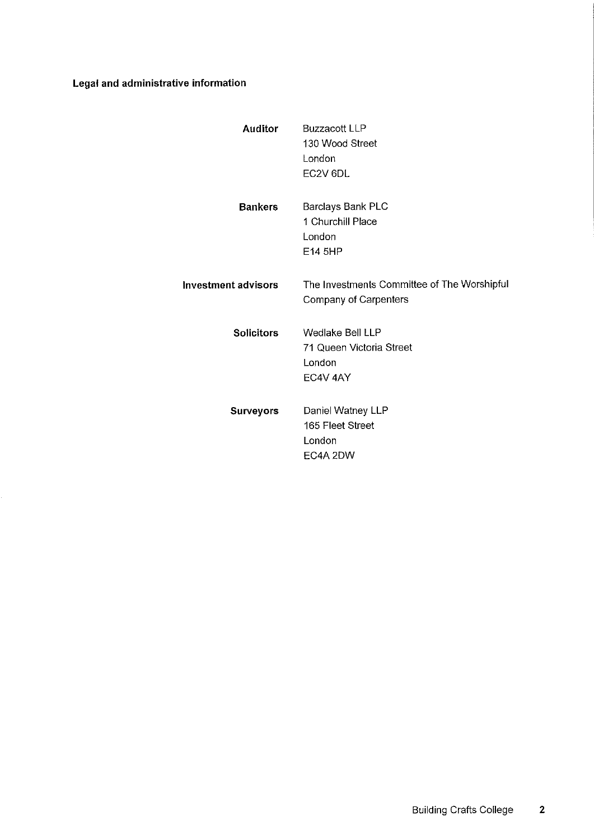## Legal and administrative information

| <b>Auditor</b>      | <b>Buzzacott LLP</b><br>130 Wood Street<br>London<br>EC <sub>2</sub> V <sub>6DL</sub> |
|---------------------|---------------------------------------------------------------------------------------|
| <b>Bankers</b>      | Barclays Bank PLC<br>1 Churchill Place<br>London<br>E14 5HP                           |
| Investment advisors | The Investments Committee of The Worshipful<br>Company of Carpenters                  |
| <b>Solicitors</b>   | Wedlake Bell LLP<br>71 Queen Victoria Street<br>London<br>EC4V 4AY                    |
| <b>Surveyors</b>    | Daniel Watney LLP<br>165 Fleet Street<br>London<br>EC4A 2DW                           |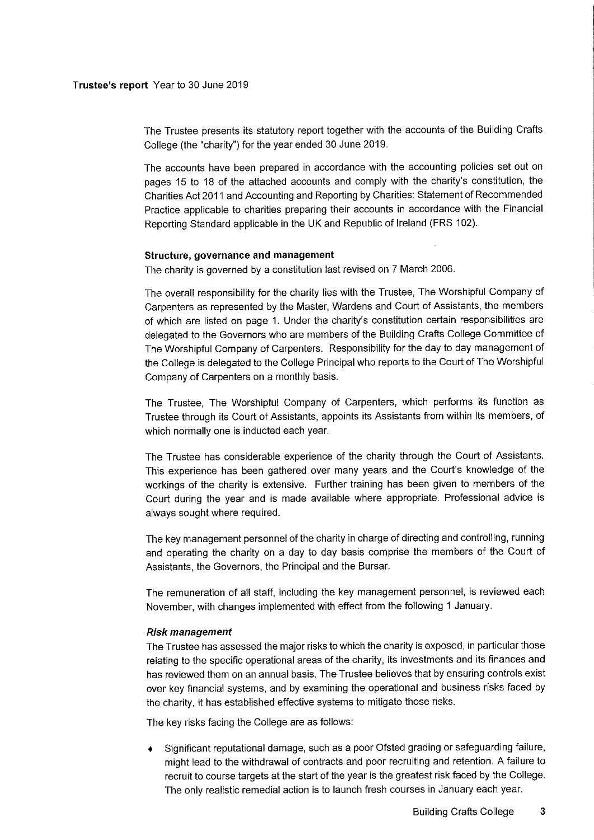The Trustee presents its statutory report together with the accounts of the Building Crafts College (the "charity") for the year ended 30 June 2019.

The accounts have been prepared in accordance with the accounting policies set out on pages 15 to 18 of the attached accounts and comply with the charity's constitution, the Charities Act 2011 and Accounting and Reporting by Charities: Statement of Recommended Practice applicable to charities preparing their accounts in accordance with the Financial Reporting Standard applicable in the UK and Republic of Ireland (FRS 102).

#### Structure, governance and management

The charity is governed by a constitution last revised on 7 March 2006.

The overall responsibility for the charity lies with the Trustee, The Worshipful Company of Carpenters as represented by the Master, Wardens and Court of Assistants, the members of which are listed on page 1. Under the charity's constitution certain responsibilities are delegated to the Governors who are members of the Building Crafts College Committee of The Worshipful Company of Carpenters. Responsibility for the day to day management of the College is delegated to the College Principal who reports to the Court of The Worshipful Company of Carpenters on a monthly basis.

The Trustee, The Worshipful Company of Carpenters, which performs its function as Trustee through its Court of Assistants, appoints its Assistants from within its members, of which normally one is inducted each year.

The Trustee has considerable experience of the charity through the Court of Assistants. This experience has been gathered over many years and the Court's knowledge of the workings of the charity is extensive. Further training has been given to members of the Court during the year and is made available where appropriate. Professional advice is always sought where required.

The key management personnel of the charity in charge of directing and controlling, running and operating the charity on a day to day basis comprise the members of the Court of Assistants, the Governors, the Principal and the Bursar.

The remuneration of all staff, including the key management personnel, is reviewed each November, with changes implemented with effect from the following <sup>1</sup> January.

#### Risk mana gem ent

The Trustee has assessed the major risks to which the charity is exposed, in particular those relating to the specific operational areas of the charity, its investments and its finances and has reviewed them on an annual basis. The Trustee believes that by ensuring controls exist over key financial systems, and by examining the operational and business risks faced by the charity, it has established effective systems to mitigate those risks.

The key risks facing the College are as follows:

Significant reputational damage, such as a poor Ofsted grading or safeguarding failure, might lead to the withdrawal of contracts and poor recruiting and retention. A failure to recruit to course targets at the start of the year is the greatest risk faced by the College. The only realistic remedial action is to launch fresh courses in January each year.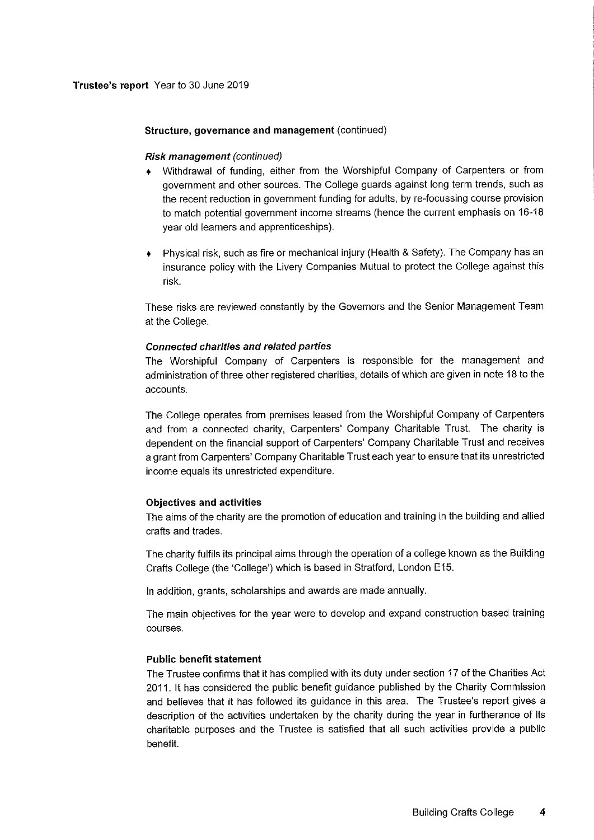## Structure, governance and management (continued)

## Risk management (conlinued)

- Withdrawal of funding, either from the Worshipful Company of Carpenters or from government and other sources. The College guards against long term trends, such as the recent reduction in government funding for adults, by re-focussing course provision to match potential government income streams (hence the current emphasis on 16-18 year old learners and apprenticeships).
- Physical risk, such as fire or mechanical injury (Health & Safety). The Company has an insurance policy with the Livery Companies Mutual to protect the College against this risk.

These risks are reviewed constantly by the Governors and the Senior Management Team at the College.

## Connected charities and related parties

The Worshipful Company of Carpenters is responsible for the management and administration of three other registered charities, details of which are given in note 18 to the accounts.

The College operates from premises leased from the Worshipful Company of Carpenters and from a connected charity, Carpenters' Company Charitable Trust. The charity is dependent on the financial support of Carpenters' Company Charitable Trust and receives a grant from Carpenters' Company Charitable Trust each year to ensure that its unrestricted income equals its unrestricted expenditure.

## Objectives and activities

The aims of the charity are the promotion of education and training in the building and allied crafts and trades.

The charity fulfils its principal aims through the operation of a college known as the Building Crafts College (the 'College') which is based in Stratford, London E15.

In addition, grants, scholarships and awards are made annually.

The main objectives for the year were to develop and expand construction based training courses.

## Public benefit statement

The Trustee confirms that it has complied with its duty under section 17 of the Charities Act 2011. It has considered the public benefit guidance published by the Charity Commission and believes that it has followed its guidance in this area. The Trustee's report gives a description of the activities undertaken by the charity during the year in furtherance of its charitable purposes and the Trustee is satisfied that all such activities provide a public benefit.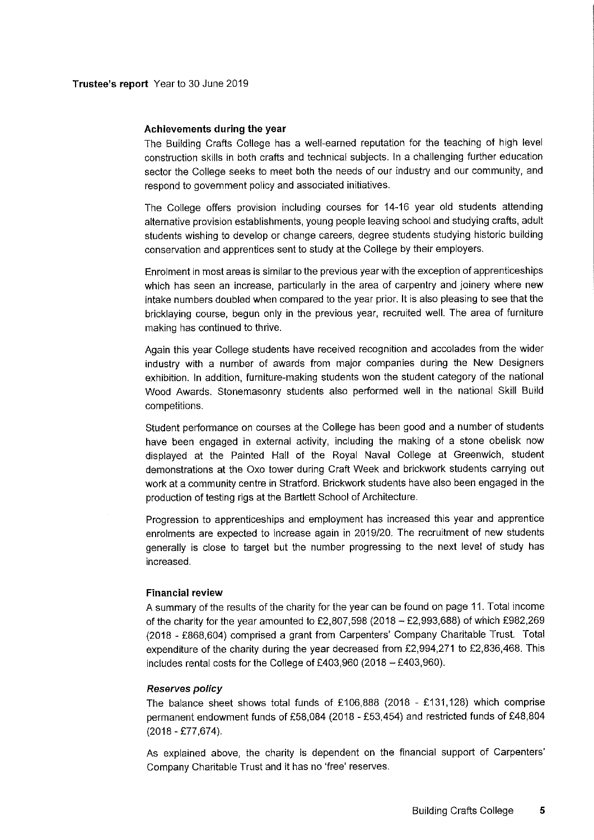#### Achievements during the year

The Building Crafts College has a well-earned reputation for the teaching of high level construction skills in both crafts and technical subjects. In a challenging further education sector the College seeks to meet both the needs of our industry and our community, and respond to government policy and associated initiatives.

The College offers provision including courses for 14-16 year old students attending alternative provision establishments, young people leaving school and studying crafts, adult students wishing to develop or change careers, degree students studying historic building conservation and apprentices sent to study at the College by their employers.

Enrolment in most areas is similar to the previous year with the exception of apprenticeships which has seen an increase, particularly in the area of carpentry and joinery where new intake numbers doubled when compared to the year prior. It is also pleasing to see that the bricklaying course, begun only in the previous year, recruited well. The area of furniture making has continued to thrive.

Again this year College students have received recognition and accolades from the wider industry with a number of awards from major companies during the New Designers exhibition. In addition, furniture-making students won the student category of the national Wood Awards. Stonemasonry students also performed well in the national Skill Build competitions.

Student performance on courses at the College has been good and a number of students have been engaged in external activity, including the making of a stone obelisk now displayed at the Painted Hall of the Royal Naval College at Greenwich, student demonstrations at the Oxo tower during Craft Week and brickwork students carrying out work at a community centre in Strafford. Brickwork students have also been engaged in the production of testing rigs at the Bartlett School of Architecture.

Progression to apprenticeships and employment has increased this year and apprentice enrolments are expected to increase again in 2019/20. The recruitment of new students generally is close to target but the number progressing to the next level of study has increased.

#### Financial review

<sup>A</sup> summary of the results of the charity for the year can be found on page 11.Total income of the charity for the year amounted to  $£2,807,598$  (2018  $-£2,993,688$ ) of which £982,269 (2018 - f868,604) comprised a grant from Carpenters' Company Charitable Trust. Total expenditure of the charity during the year decreased from  $£2,994,271$  to  $£2,836,468$ . This includes rental costs for the College of £403,960 (2018  $-$  £403,960).

#### Reserves policy

The balance sheet shows total funds of £106,888 (2018 - £131,128) which comprise permanent endowment funds of F58,084 (2018 - f53,454) and restricted funds of F48,<sup>804</sup> (2018 - F77,674).

As explained above, the charity is dependent on the financial support of Carpenters' Company Charitable Trust and it has no 'free' reserves.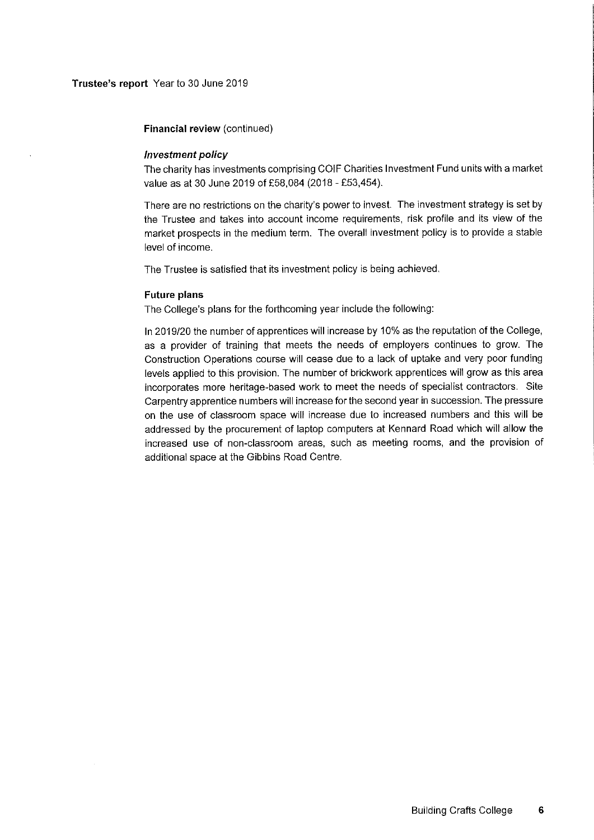Financial review (continued)

#### Investment policy

The charity has investments comprising COIF Charities Investment Fund units with a market value as at 30 June 2019 of £58,084 (2018 - £53,454).

There are no restrictions on the charity's power to invest. The investment strategy is set by the Trustee and takes into account income requirements, risk profile and its view of the market prospects in the medium term. The overall investment policy is to provide a stable level of income.

The Trustee is satisfied that its investment policy is being achieved.

#### Future plans

The College's plans for the forthcoming year include the following:

In 2019/20 the number of apprentices will increase by 10% as the reputation of the College, as a provider of training that meets the needs of employers continues to grow. The Construction Operations course will cease due to a lack of uptake and very poor funding levels applied to this provision. The number of brickwork apprentices will grow as this area incorporates more heritage-based work to meet the needs of specialist contractors. Site Carpentry apprentice numbers will increase for the second year in succession. The pressure on the use of classroom space will increase due to increased numbers and this will be addressed by the procurement of laptop computers at Kennard Road which will allow the increased use of non-classroom areas, such as meeting rooms, and the provision of additional space at the Gibbins Road Centre.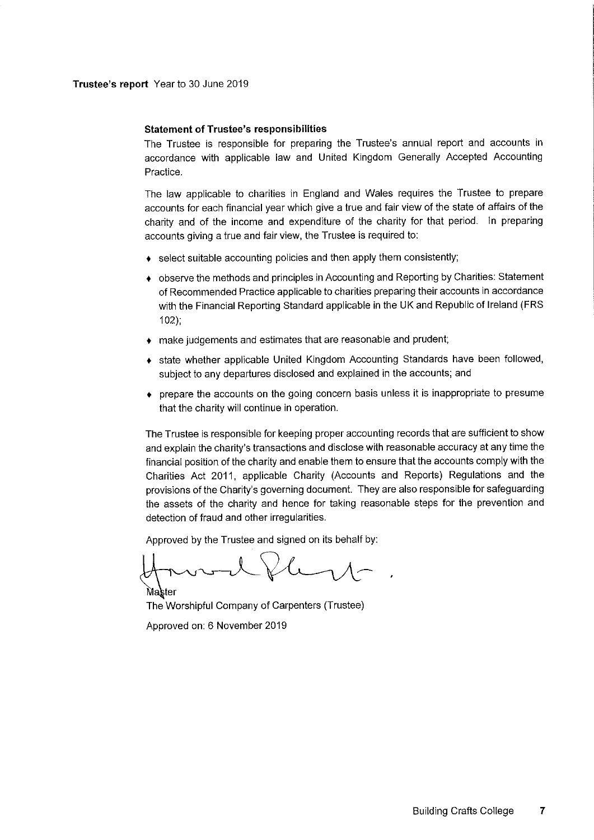Trustee's report Year to 30 June 2019

#### Statement of Trustee's responsibilities

The Trustee is responsible for preparing the Trustee's annual report and accounts in accordance with applicable law and United Kingdom Generally Accepted Accounting Practice.

The law applicable to charities in England and Wales requires the Trustee to prepare accounts for each financial year which give a true and fair view of the state of affairs of the charity and of the income and expenditure of the charity for that period. In preparing accounts giving a true and fair view, the Trustee is required to:

- $\bullet$  select suitable accounting policies and then apply them consistently;
- + observe the methods and principles in Accounting and Reporting by Charities: Statement of Recommended Practice applicable to charities preparing their accounts in accordance with the Financial Reporting Standard applicable in the UK and Republic of Ireland (FRS 102);
- make judgements and estimates that are reasonable and prudent;
- state whether applicable United Kingdom Accounting Standards have been followed, subject to any departures disclosed and explained in the accounts; and
- prepare the accounts on the going concern basis unless it is inappropriate to presume that the charity will continue in operation.

The Trustee is responsible for keeping proper accounting records that are sufficient to show and explain the charity's transactions and disclose with reasonable accuracy at any time the financial position of the charity and enable them to ensure that the accounts comply with the Charities Act 2011, applicable Charity (Accounts and Reports) Regulations and the provisions of the Charity's governing document. They are also responsible for safeguarding the assets of the charity and hence for taking reasonable steps for the prevention and detection of fraud and other irregularities.

Approved by the Trustee and signed on its behalf by:

Master The Worshipful Company of Carpenters (Trustee) Approved on: 6 November 2019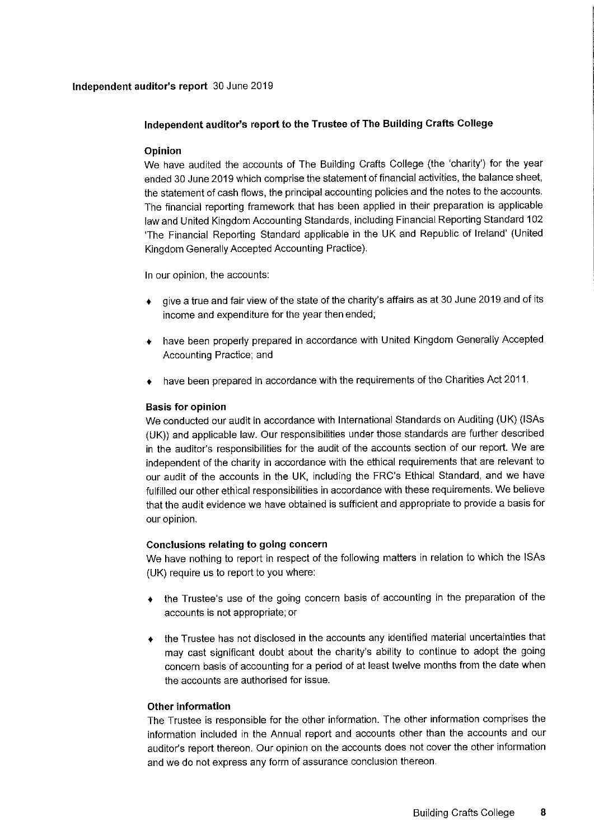## Independent auditor's report 30 June 2019

## Independent auditor's report to the Trustee of The Building Crafts College

## Opinion

We have audited the accounts of The Building Crafts College (the 'charity') for the year ended 30 June 2019 which comprise the statement of financial activities, the balance sheet, the statement of cash flows, the principal accounting policies and the notes to the accounts. The financial reporting framework that has been applied in their preparation is applicable law and United Kingdom Accounting Standards, including Financial Reporting Standard 102 'The Financial Reporting Standard applicable in the UK and Republic of Ireland' (United Kingdom Generally Accepted Accounting Practice).

In our opinion, the accounts:

- give a true and fair view of the state of the charity's affairs as at 30 June 2019 and of its income and expenditure for the year then ended;
- + have been properly prepared in accordance with United Kingdom Generally Accepted Accounting Practice; and
- have been prepared in accordance with the requirements of the Charities Act 2011.

## Basis for opinion

We conducted our audit in accordance with International Standards on Auditing (UK) (ISAs (UK)) and applicable law. Our responsibilities under those standards are further described in the auditor's responsibilities for the audit of the accounts section of our report. We are independent of the charity in accordance with the ethical requirements that are relevant to our audit of the accounts in the UK, including the FRC's Ethical Standard, and we have fulfilled our other ethical responsibilities in accordance with these requirements. We believe that the audit evidence we have obtained is sufficient and appropriate to provide a basis for our opinion.

## Conclusions relating to going concern

We have nothing to report in respect of the following matters in relation to which the ISAs (UK) require us to report to you where:

- the Trustee's use of the going concern basis of accounting in the preparation of the accounts is not appropriate; or
- the Trustee has not disclosed in the accounts any identified material uncertainties that may cast significant doubt about the charity's ability to continue to adopt the going concern basis of accounting for a period of at least twelve months from the date when the accounts are authorised for issue.

## Other information

The Trustee is responsible for the other information. The other information comprises the information included in the Annual report and accounts other than the accounts and our auditor's report thereon. Our opinion on the accounts does not cover the other information and we do not express any form of assurance conclusion thereon.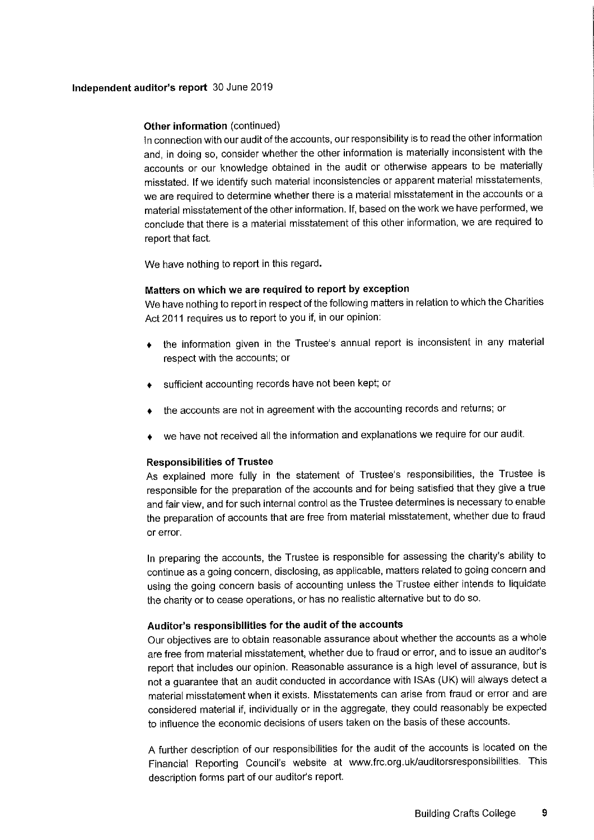## Independent auditor's report 30 June 2019

## Other information (continued)

In connection with our audit of the accounts, our responsibility is to read the other information and, in doing so, consider whether the other information is materially inconsistent with the accounts or our knowledge obtained in the audit or otherwise appears to be materially misstated. If we identify such material inconsistencies or apparent material misstatements, we are required to determine whether there is a material misstatement in the accounts or a material misstatement of the other information. If, based on the work we have performed, we conclude that there is a material misstatement of this other information, we are required to report that fact.

We have nothing to report in this regard.

## Matters on which we are required to report by exception

We have nothing to report in respect of the following matters in relation to which the Charities Act 2011 requires us to report to you if, in our opinion:

- the information given in the Trustee's annual report is inconsistent in any material  $\ddot{\bullet}$ respect with the accounts; or
- sufficient accounting records have not been kept; or
- the accounts are not in agreement with the accounting records and returns; or
- we have not received all the information and explanations we require for our audit.

## Responsibilities of Trustee

As explained more fully in the statement of Trustee's responsibilities, the Trustee is responsible for the preparation of the accounts and for being satisfied that they give a true and fair view, and for such internal control as the Trustee determines is necessary to enable the preparation of accounts that are free from material misstatement, whether due to fraud or error.

In preparing the accounts, the Trustee is responsible for assessing the charity's ability to continue as a going concern, disclosing, as applicable, matters related to going concern and using the going concern basis of accounting unless the Trustee either intends to liquidate the charity or to cease operations, or has no realistic alternative but to do so.

## Auditor's responsibilities for the audit of the accounts

Our objectives are to obtain reasonable assurance about whether the accounts as a whole are free from material misstatement, whether due to fraud or error, and to issue an auditor's report that includes our opinion. Reasonable assurance is a high level of assurance, but is not a guarantee that an audit conducted in accordance with ISAs (UK) will always detect a material misstatement when it exists. Misstatements can arise from fraud or error and are considered material if, individually or in the aggregate, they could reasonably be expected to influence the economic decisions of users taken on the basis of these accounts.

<sup>A</sup> further description of our responsibilities for the audit of the accounts is located on the Financial Reporting Council's website at www. frc.org. uk/auditorsresponsibilities. This description forms part of our auditor's report.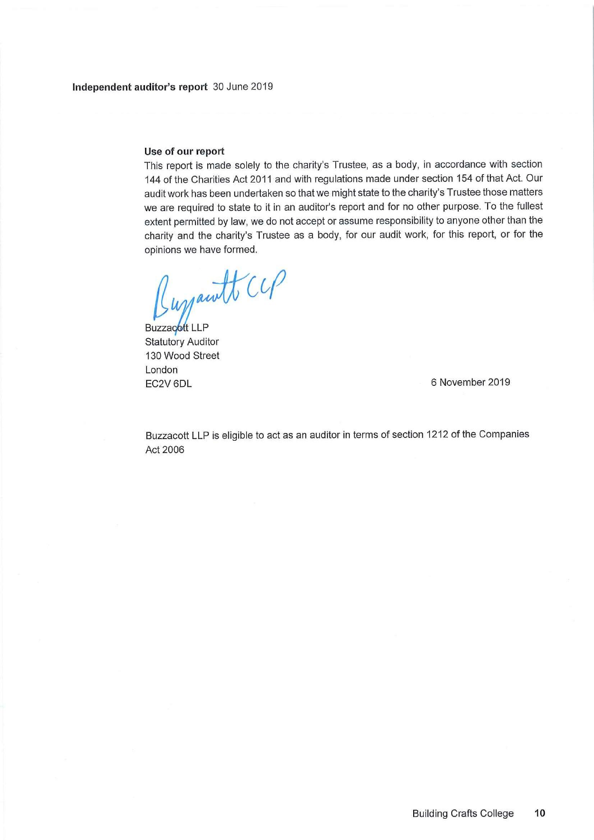## Use of our report

This report is made solely to the charity's Trustee, as a body, in accordance with section 144 of the Charities Act 2011 and with regulations made under section 154 of that Act. Our audit work has been undertaken so that we might state to the charity's Trustee those matters we are required to state to it in an auditor's report and for no other purpose. To the fullest extent permitted by law, we do not accept or assume responsibility to anyone other than the charity and the charity's Trustee as a body, for our audit work, for this report, or for the opinions we have formed.

Lugrawtt CCP

Buzzacott LLP Statutory Auditor 130Wood Street London EC2V 6DL 6 November 2019

Buzzacott LLP is eligible to act as an auditor in terms of section 1212 of the Companies Act 2006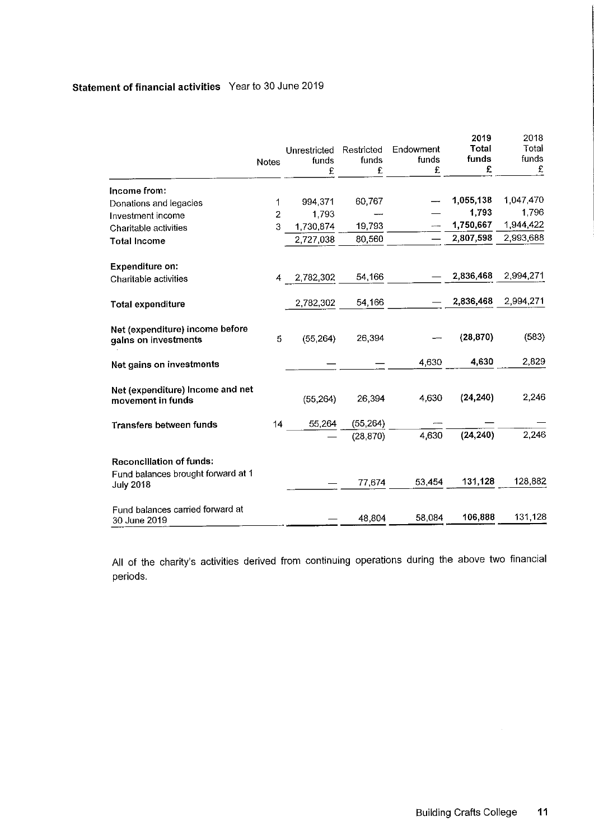# Statement of financial activities Year to 30 June 2019

|                                                                       | <b>Notes</b> | Unrestricted<br>funds<br>£ | Restricted<br>funds<br>£ | Endowment<br>funds<br>£ | 2019<br>Total<br>funds<br>£ | 2018<br>Total<br>funds<br>£ |
|-----------------------------------------------------------------------|--------------|----------------------------|--------------------------|-------------------------|-----------------------------|-----------------------------|
| Income from:                                                          |              |                            |                          |                         |                             |                             |
| Donations and legacies                                                | 1            | 994,371                    | 60,767                   |                         | 1,055,138                   | 1,047,470                   |
| Investment income                                                     | 2            | 1,793                      |                          |                         | 1,793                       | 1,796                       |
| Charitable activities                                                 | 3            | 1,730,874                  | 19,793                   |                         | 1,750,667                   | 1,944,422                   |
| <b>Total Income</b>                                                   |              | 2,727,038                  | 80,560                   |                         | 2,807,598                   | 2,993,688                   |
| <b>Expenditure on:</b>                                                |              |                            |                          |                         |                             |                             |
| Charitable activities                                                 | 4            | 2,782,302                  | 54,166                   |                         | 2,836,468                   | 2,994,271                   |
| <b>Total expenditure</b>                                              |              | 2,782,302                  | 54,166                   |                         | 2,836,468                   | 2,994,271                   |
| Net (expenditure) income before<br>gains on investments               | 5            | (55, 264)                  | 26,394                   |                         | (28, 870)                   | (583)                       |
| Net gains on investments                                              |              |                            |                          | 4,630                   | 4,630                       | 2,829                       |
| Net (expenditure) Income and net<br>movement in funds                 |              | (55, 264)                  | 26,394                   | 4,630                   | (24, 240)                   | 2,246                       |
| <b>Transfers between funds</b>                                        | 14           | 55,264                     | (55, 264)                |                         |                             |                             |
|                                                                       |              |                            | (28, 870)                | 4,630                   | (24, 240)                   | 2,246                       |
| <b>Reconciliation of funds:</b><br>Fund balances brought forward at 1 |              |                            | 77,674                   | 53,454                  | 131,128                     | 128,882                     |
| <b>July 2018</b>                                                      |              |                            |                          |                         |                             |                             |
| Fund balances carried forward at<br>30 June 2019                      |              |                            | 48,804                   | 58,084                  | 106,888                     | 131,128                     |

All of the charity's activities derived from continuing operations during the above two financial periods.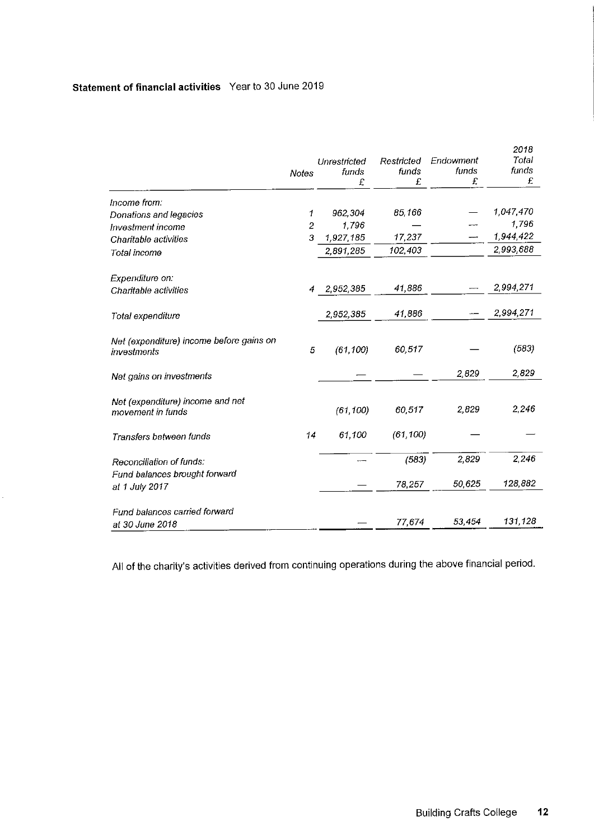# Statement of financial activities Year to 30 June 2019

|                                                         |                |              |            |           | 2018      |
|---------------------------------------------------------|----------------|--------------|------------|-----------|-----------|
|                                                         |                | Unrestricted | Restricted | Endowment | Total     |
|                                                         | Notes          | funds        | funds      | funds     | funds     |
|                                                         |                | £            | £          | £         | £         |
| Income from:                                            |                |              |            |           |           |
| Donations and legacies                                  | 1              | 962,304      | 85.166     |           | 1,047,470 |
| Investment income                                       | $\overline{c}$ | 1,796        |            |           | 1,796     |
| Charitable activities                                   | 3              | 1,927,185    | 17,237     |           | 1,944,422 |
| Total income                                            |                | 2,891,285    | 102,403    |           | 2,993,688 |
| Expenditure on:                                         |                |              |            |           |           |
| Charitable activities                                   | 4              | 2,952,385    | 41,886     |           | 2,994,271 |
| Total expenditure                                       |                | 2,952,385    | 41,886     |           | 2,994,271 |
| Net (expenditure) income before gains on<br>investments | 5              | (61, 100)    | 60,517     |           | (583)     |
| Net gains on investments                                |                |              |            | 2,829     | 2,829     |
| Net (expenditure) income and net<br>movement in funds   |                | (61, 100)    | 60,517     | 2,829     | 2,246     |
| Transfers between funds                                 | 14             | 61,100       | (61, 100)  |           |           |
| Reconciliation of funds:                                |                |              | (583)      | 2,829     | 2,246     |
| Fund balances brought forward<br>at 1 July 2017         |                |              | 78,257     | 50,625    | 128,882   |
| Fund balances carried forward<br>at 30 June 2018        |                |              | 77,674     | 53,454    | 131,128   |

All of the charity's activities derived from continuing operations during the above financial period.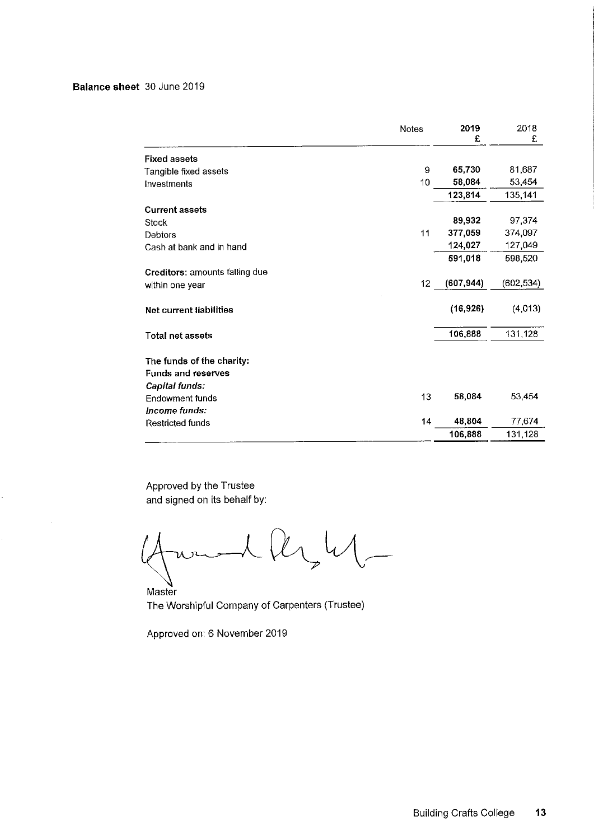## Balance sheet 30 June 2019

|                                | <b>Notes</b> | 2019<br>£  | 2018<br>£  |
|--------------------------------|--------------|------------|------------|
| <b>Fixed assets</b>            |              |            |            |
| Tangible fixed assets          | 9            | 65,730     | 81,687     |
| Investments                    | 10           | 58,084     | 53,454     |
|                                |              | 123,814    | 135,141    |
| <b>Current assets</b>          |              |            |            |
| Stock                          |              | 89,932     | 97.374     |
| Debtors                        | 11           | 377,059    | 374,097    |
| Cash at bank and in hand       |              | 124,027    | 127,049    |
|                                |              | 591,018    | 598,520    |
| Creditors: amounts falling due |              |            |            |
| within one year                | 12           | (607, 944) | (602, 534) |
| Net current liabilities        |              | (16, 926)  | (4,013)    |
| <b>Total net assets</b>        |              | 106,888    | 131.128    |
| The funds of the charity:      |              |            |            |
| <b>Funds and reserves</b>      |              |            |            |
| Capital funds:                 |              |            |            |
| Endowment funds                | 13           | 58,084     | 53 454     |
| Income funds:                  |              |            |            |
| <b>Restricted funds</b>        | 14           | 48,804     | 77 674     |
|                                |              | 106,888    | 131,128    |

Approved by the Trustee and signed on its behalf by

U

Master The Worshipful Company of Carpenters (Trustee)

Approved on: 6 November 2019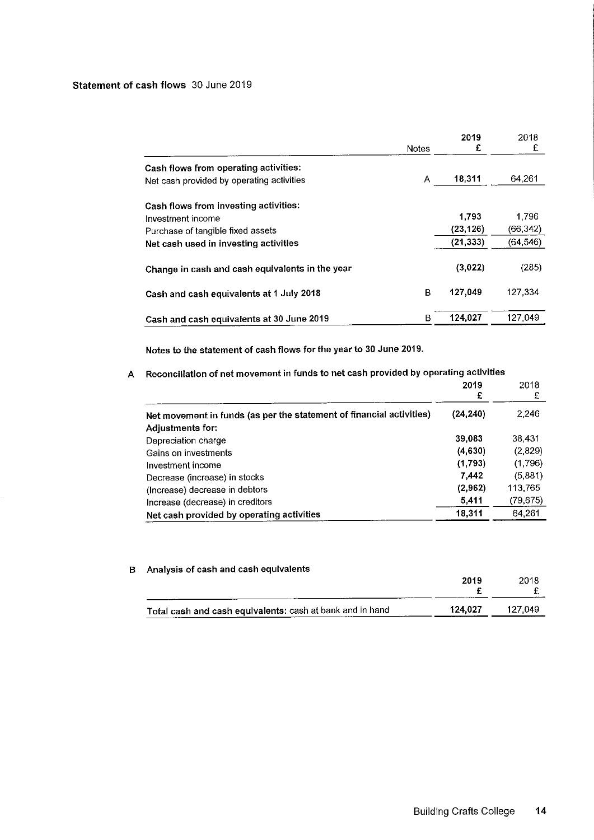## Statement of cash flows 30 June 2019

|                                                 | <b>Notes</b> | 2019<br>£ | 2018<br>£ |
|-------------------------------------------------|--------------|-----------|-----------|
| Cash flows from operating activities:           |              |           |           |
| Net cash provided by operating activities       | A            | 18,311    | 64 261    |
| Cash flows from investing activities:           |              |           |           |
| Investment income                               |              | 1,793     | 1.796     |
| Purchase of tangible fixed assets               |              | (23, 126) | (66, 342) |
| Net cash used in investing activities           |              | (21, 333) | (64, 546) |
| Change in cash and cash equivalents in the year |              | (3,022)   | (285)     |
| Cash and cash equivalents at 1 July 2018        | в            | 127.049   | 127.334   |
| Cash and cash equivalents at 30 June 2019       | в            | 124,027   | 127.049   |

Notes to the statement of cash flows for the year to 30 June 2019.

# <sup>A</sup> Reconciliation of net movement in funds to net cash provided by operating activities

|                                                                      | 2019<br>£ | 2018<br>£ |
|----------------------------------------------------------------------|-----------|-----------|
| Net movement in funds (as per the statement of financial activities) | (24, 240) | 2.246     |
| Adjustments for:                                                     |           |           |
| Depreciation charge                                                  | 39,083    | 38,431    |
| Gains on investments                                                 | (4,630)   | (2,829)   |
| Investment income                                                    | (1,793)   | (1,796)   |
| Decrease (increase) in stocks                                        | 7.442     | (5,881)   |
| (Increase) decrease in debtors                                       | (2,962)   | 113.765   |
| Increase (decrease) in creditors                                     | 5.411     | (79, 675) |
| Net cash provided by operating activities                            | 18,311    | 64.261    |

## B Analysis of cash and cash equivalents

|                                                           | 2019    | 2018    |
|-----------------------------------------------------------|---------|---------|
|                                                           |         |         |
| Total cash and cash equivalents: cash at bank and in hand | 124.027 | 127.049 |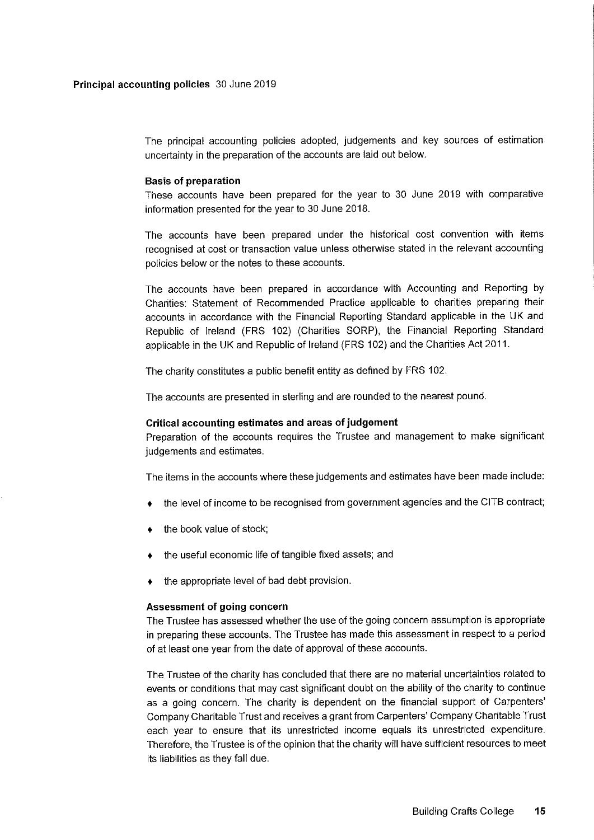The principal accounting policies adopted, judgements and key sources of estimation uncertainty in the preparation of the accounts are laid out below.

### Basis of preparation

These accounts have been prepared for the year to 30 June 2019 with comparative information presented for the year to 30 June 2018.

The accounts have been prepared under the historical cost convention with items recognised at cost or transaction value unless otherwise stated in the relevant accounting policies below or the notes to these accounts.

The accounts have been prepared in accordance with Accounting and Reporting by Charities: Statement of Recommended Practice applicable to charities preparing their accounts in accordance with the Financial Reporting Standard applicable in the UK and Republic of Ireland (FRS 102) (Charities SORP), the Financial Reporting Standard applicable in the UK and Republic of Ireland (FRS 102) and the Charities Act 2011.

The charity constitutes a public benefit entity as defined by FRS 102.

The accounts are presented in sterling and are rounded to the nearest pound.

#### Critical accounting estimates and areas of judgement

Preparation of the accounts requires the Trustee and management to make significant judgements and estimates.

The items in the accounts where these judgements and estimates have been made include:

- the level of income to be recognised from government agencies and the CITB contract;
- the book value of stock;
- the useful economic life of tangible fixed assets; and
- the appropriate level of bad debt provision.

#### Assessment of going concern

The Trustee has assessed whether the use of the going concern assumption is appropriate in preparing these accounts. The Trustee has made this assessment in respect to a period of at least one year from the date of approval of these accounts.

The Trustee of the charity has concluded that there are no material uncertainties related to events or conditions that may cast significant doubt on the ability of the charity to continue as a going concern. The charity is dependent on the financial support of Carpenters' Company Charitable Trust and receives a grant from Carpenters' Company Charitable Trust each year to ensure that its unrestricted income equals its unrestricted expenditure. Therefore, the Trustee is of the opinion that the charity will have sufficient resources to meet its liabilities as they fall due.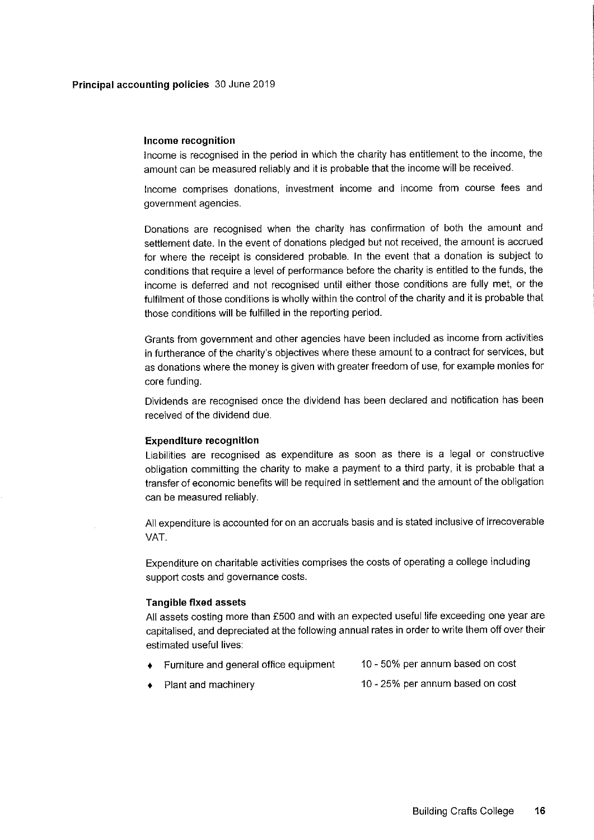## Income recognition

Income is recognised in the period in which the charity has entitlement to the income, the amount can be measured reliably and it is probable that the income will be received.

Income comprises donations, investment income and income from course fees and government agencies.

Donations are recognised when the charity has confirmation of both the amount and settlement date. In the event of donations pledged but not received, the amount is accrued for where the receipt is considered probable. In the event that a donation is subject to conditions that require a level of performance before the charity is entitled to the funds, the income is deferred and not recognised until either those conditions are fully met, or the fulfilment of those conditions is wholly within the control of the charity and it is probable that those conditions will be fulfilled in the reporting period.

Grants from government and other agencies have been included as income from activities in furtherance of the charity's objectives where these amount to a contract for services, but as donations where the money is given with greater freedom of use, for example monies for core funding.

Dividends are recognised once the dividend has been declared and notification has been received of the dividend due.

#### Expenditure recognitlon

Liabilities are recognised as expenditure as soon as there is a legal or constructive obligation committing the charity to make a payment to a third party, it is probable that a transfer of economic benefits will be required in settlement and the amount of the obligation can be measured reliably.

All expenditure is accounted for on an accruals basis and is stated inclusive of irrecoverable VAT.

Expenditure on charitable activities comprises the costs of operating a college including support costs and governance costs.

#### Tangible fixed assets

All assets costing more than 2500 and with an expected useful life exceeding one year are capitalised, and depreciated at the following annual rates in order to write them off over their estimated useful lives:

- + Furniture and general office equipment 10 - 50% per annum based on cost
	- Plant and machinery 10 - 25% per annum based on cost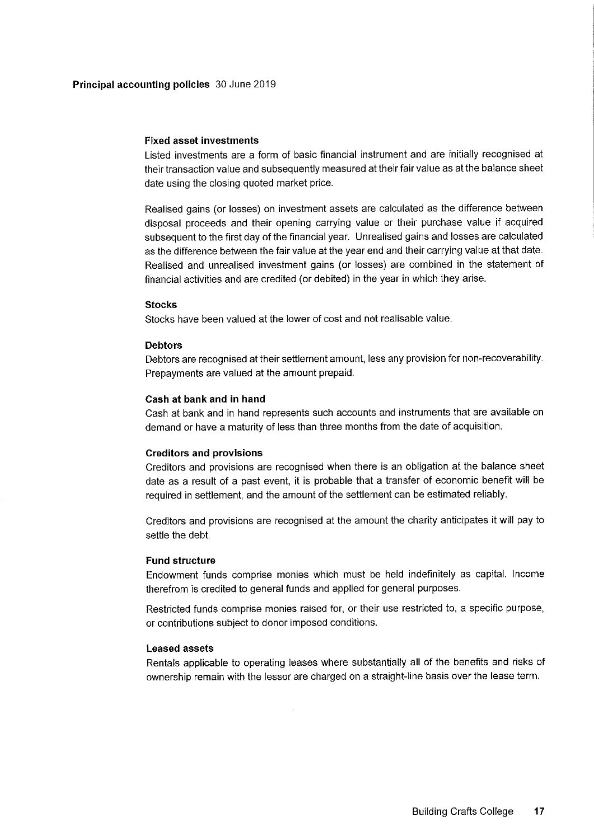### Fixed asset investments

Listed investments are a form of basic financial instrument and are initially recognised at their transaction value and subsequently measured at their fair value as at the balance sheet date using the closing quoted market price.

Realised gains (or losses) on investment assets are calculated as the difference between disposal proceeds and their opening carrying value or their purchase value if acquired subsequent to the first day of the financial year. Unrealised gains and losses are calculated as the difference between the fair value at the year end and their carrying value at that date. Realised and unrealised investment gains (or losses) are combined in the statement of financial activities and are credited (or debited) in the year in which they arise.

#### **Stocks**

Stocks have been valued at the lower of cost and net realisable value.

## Debtors

Debtors are recognised at their settlement amount, less any provision for non-recoverability. Prepayments are valued at the amount prepaid.

## Cash at bank and in hand

Cash at bank and in hand represents such accounts and instruments that are available on demand or have a maturity of less than three months from the date of acquisition.

#### Creditors and provisions

Creditors and provisions are recognised when there is an obligation at the balance sheet date as a result of a past event, it is probable that a transfer of economic benefit will be required in settlement, and the amount of the settlement can be estimated reliably.

Creditors and provisions are recognised at the amount the charity anticipates it will pay to settle the debt.

#### Fund structure

Endowment funds comprise monies which must be held indefinitely as capital. Income therefrom is credited to general funds and applied for general purposes.

Restricted funds comprise monies raised for, or their use restricted to, a specific purpose, or contributions subject to donor imposed conditions.

#### Leased assets

Rentals applicable to operating leases where substantially all of the benefits and risks of ownership remain with the lessor are charged on a straight-line basis over the lease term.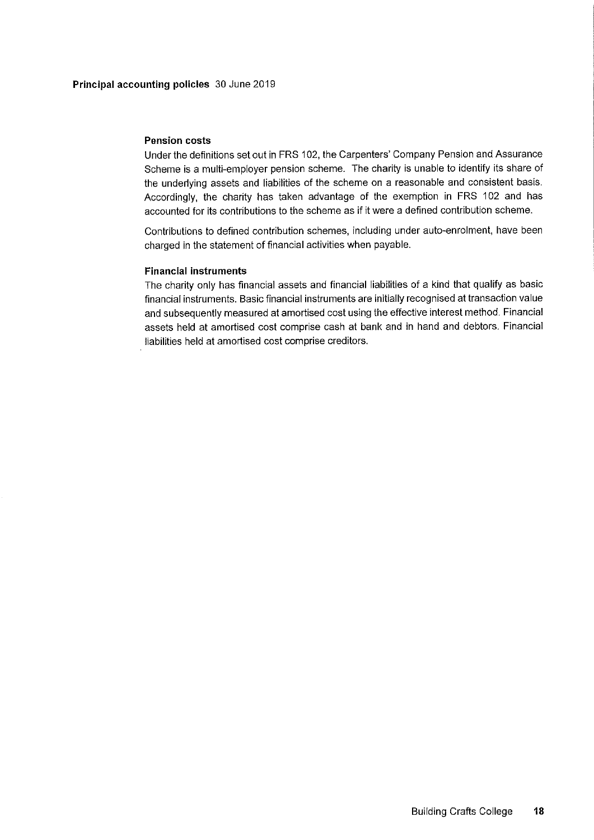## Pension costs

Under the definitions set out in FRS 102, the Carpenters' Company Pension and Assurance Scheme is a multi-employer pension scheme. The charity is unable to identify its share of the underlying assets and liabilities of the scheme on a reasonable and consistent basis. Accordingly, the charity has taken advantage of the exemption in FRS 102 and has accounted for its contributions to the scheme as if it were a defined contribution scheme.

Contributions to defined contribution schemes, including under auto-enrolment, have been charged in the statement of financial activities when payable.

## Financial instruments

The charity only has financial assets and financial liabilities of a kind that qualify as basic financial instruments. Basic financial instruments are initially recognised at transaction value and subsequently measured at amortised cost using the effective interest method. Financial assets held at amortised cost comprise cash at bank and in hand and debtors. Financial liabilities held at amortised cost comprise creditors.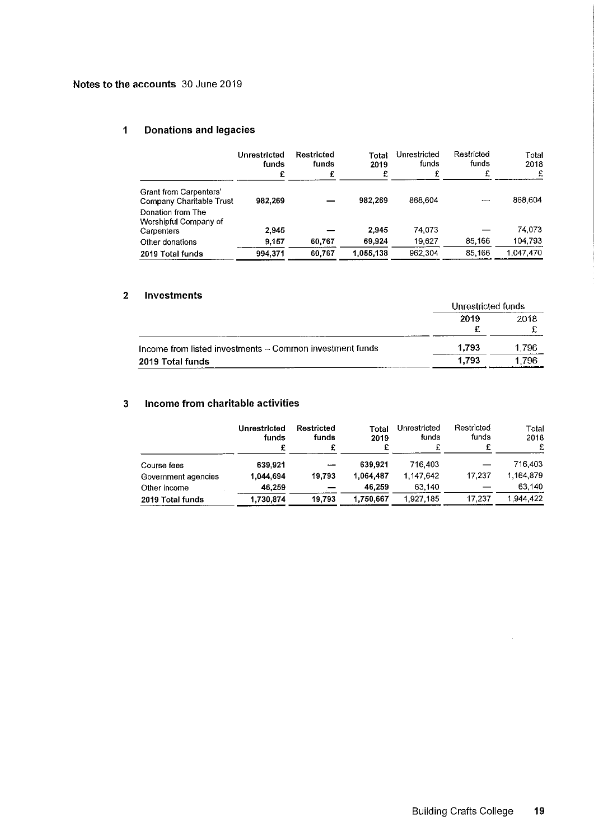## 1 Donations and legacies

|                                                    | Unrestricted<br>funds | Restricted<br>funds | Total<br>2019<br>£ | Unrestricted<br>funds<br>£ | Restricted<br>funds<br>£ | Total<br>2018<br>£ |
|----------------------------------------------------|-----------------------|---------------------|--------------------|----------------------------|--------------------------|--------------------|
|                                                    | £                     |                     |                    |                            |                          |                    |
| Grant from Carpenters'<br>Company Charitable Trust | 982.269               |                     | 982.269            | 868,604                    | $-$                      | 868,604            |
| Donation from The<br>Worshipful Company of         |                       |                     |                    |                            |                          |                    |
| Carpenters                                         | 2.945                 |                     | 2,945              | 74 073                     |                          | 74,073             |
| Other donations                                    | 9.157                 | 60,767              | 69.924             | 19 627                     | 85,166                   | 104,793            |
| 2019 Total funds                                   | 994.371               | 60.767              | 1,055,138          | 962 304                    | 85.166                   | 1.047.470          |

## 2 Investments

|                                                          | Unrestricted funds |       |  |
|----------------------------------------------------------|--------------------|-------|--|
|                                                          | 2019               | 2018  |  |
| Income from listed investments - Common investment funds | 1.793              | 1.796 |  |
| 2019 Total funds                                         | 1.793              | 1.796 |  |

## 3 Income from charitable activities

|                     | Unrestricted<br>funds<br>£ | Restricted<br>funds      | Total<br>2019<br>£ | Unrestricted<br>funds | Restricted<br>funds<br>£ | Total<br>2018<br>£ |
|---------------------|----------------------------|--------------------------|--------------------|-----------------------|--------------------------|--------------------|
| Course fees         | 639.921                    | $\overline{\phantom{a}}$ | 639.921            | 716.403               |                          | 716.403            |
| Government agencies | 1,044.694                  | 19.793                   | 1,064,487          | 1.147.642             | 17.237                   | 1.164.879          |
| Other income        | 46.259                     |                          | 46.259             | 63.140                |                          | 63.140             |
| 2019 Total funds    | 1,730,874                  | 19,793                   | 1,750,667          | 1,927,185             | 17.237                   | 1.944,422          |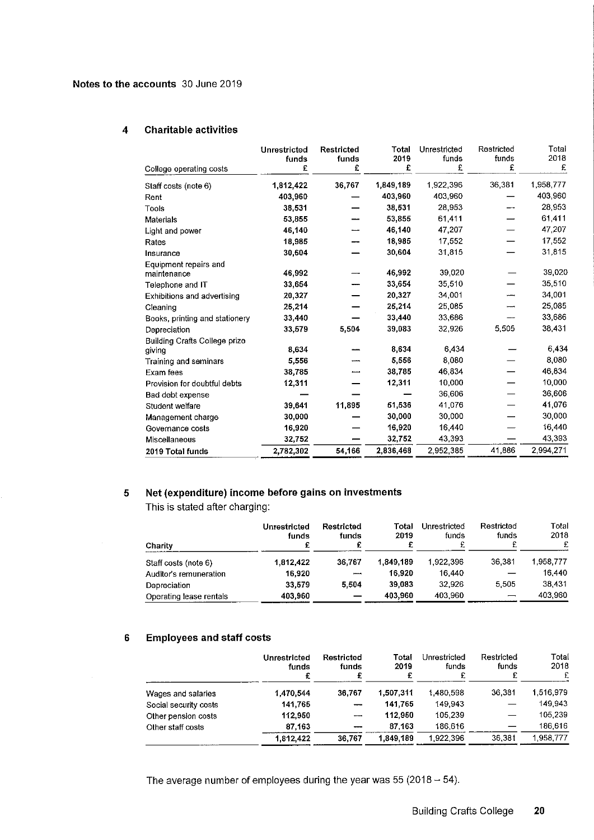## 4 Charitable activities

| College operating costs                 | Unrestricted<br>funds<br>£ | Restricted<br>funds<br>£ | Total<br>2019<br>£ | Unrestricted<br>funds<br>£ | Restricted<br>funds<br>£ | Total<br>2018<br>£ |
|-----------------------------------------|----------------------------|--------------------------|--------------------|----------------------------|--------------------------|--------------------|
| Staff costs (note 6)                    | 1,812,422                  | 36,767                   | 1,849.189          | 1922,396                   | 36,381                   | 1,958,777          |
| Rent                                    | 403,960                    |                          | 403.960            | 403,960                    |                          | 403,960            |
| Tools                                   | 38,531                     |                          | 38 531             | 28,953                     |                          | 28,953             |
| Materials                               | 53,855                     |                          | 53,855             | 61,411                     |                          | 61,411             |
| Light and power                         | 46,140                     |                          | 46.140             | 47,207                     |                          | 47,207             |
| Rates                                   | 18,985                     |                          | 18.985             | 17,552                     |                          | 17,552             |
| Insurance                               | 30,604                     |                          | 30.604             | 31,815                     |                          | 31,815             |
| Equipment repairs and<br>maintenance    | 46,992                     |                          | 46,992             | 39.020                     |                          | 39,020             |
| Telephone and IT                        | 33,654                     |                          | 33.654             | 35,510                     |                          | 35,510             |
| Exhibitions and advertising             | 20,327                     |                          | 20,327             | 34,001                     |                          | 34,001             |
| Cleaning                                | 25,214                     |                          | 25,214             | 25,085                     |                          | 25,085             |
| Books, printing and stationery          | 33,440                     |                          | 33.440             | 33,686                     |                          | 33,686             |
| Depreciation                            | 33,579                     | 5,504                    | 39,083             | 32,926                     | 5,505                    | 38,431             |
| Building Crafts College prize<br>giving | 8,634                      |                          | 8.634              | 6.434                      |                          | 6,434              |
| Training and seminars                   | 5,556                      |                          | 5,556              | 8,080                      |                          | 8,080              |
| Exam fees                               | 38,785                     |                          | 38,785             | 46.834                     |                          | 46,834             |
| Provision for doubtful debts            | 12,311                     |                          | 12,311             | 10,000                     |                          | 10,000             |
| Bad debt expense                        |                            |                          |                    | 36,606                     |                          | 36,606             |
| Student welfare                         | 39,641                     | 11,895                   | 51,536             | 41,076                     |                          | 41,076             |
| Management charge                       | 30,000                     |                          | 30,000             | 30,000                     |                          | 30,000             |
| Governance costs                        | 16,920                     |                          | 16.920             | 16.440                     |                          | 16,440             |
| Miscellaneous                           | 32,752                     |                          | 32,752             | 43 393                     |                          | 43,393             |
| 2019 Total funds                        | 2,782,302                  | 54,166                   | 2,836,468          | 2,952,385                  | 41,886                   | 2,994,271          |

## 5 Net (expenditure) income before gains on investments

This is stated after charging:

| Charity                 | Unrestricted<br>funds<br>£ | <b>Restricted</b><br>funds | Total<br>2019 | Unrestricted<br>funds | Restricted<br>funds | Total<br>2018<br>£ |
|-------------------------|----------------------------|----------------------------|---------------|-----------------------|---------------------|--------------------|
| Staff costs (note 6)    | 1.812,422                  | 36,767                     | 1.849.189     | 1,922,396             | 36,381              | 1.958.777          |
| Auditor's remuneration  | 16.920                     | وسمعو                      | 16.920        | 16.440                |                     | 16.440             |
| Depreciation            | 33.579                     | 5,504                      | 39,083        | 32.926                | 5.505               | 38.431             |
| Operating lease rentals | 403,960                    |                            | 403,960       | 403.960               |                     | 403.960            |

## 5 Employees and staff costs

|                       | Unrestricted<br>funds<br>£ | <b>Restricted</b><br>funds | Total<br>2019<br>£ | Unrestricted<br>funds | Restricted<br>funds<br>£ | Total<br>2018 |
|-----------------------|----------------------------|----------------------------|--------------------|-----------------------|--------------------------|---------------|
| Wages and salaries    | 1,470,544                  | 36.767                     | 1,507,311          | 1.480.598             | 36.381                   | 1.516.979     |
| Social security costs | 141.765                    |                            | 141.765            | 149.943               |                          | 149.943       |
| Other pension costs   | 112,950                    | ---                        | 112,950            | 105,239               |                          | 105.239       |
| Other staff costs     | 87,163                     | ---                        | 87.163             | 186.616               |                          | 186,616       |
|                       | 1.812.422                  | 36.767                     | 1,849,189          | 1.922.396             | 36,381                   | 1.958.777     |

The average number of employees during the year was  $55$  (2018 -  $54$ ).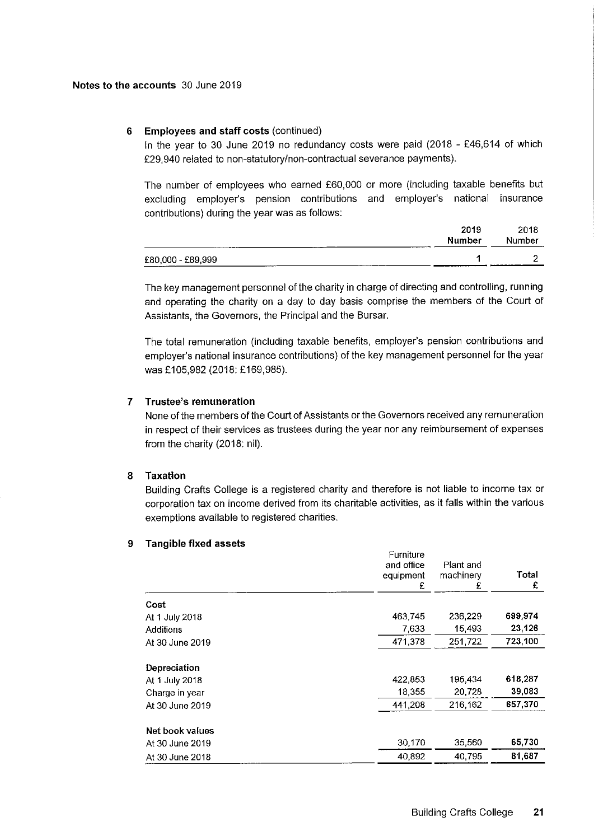## 6 Employees and staff costs (continued)

In the year to 30 June 2019 no redundancy costs were paid (2018 - £46,614 of which F29,940 related to non-statutory/non-contractual severance payments).

The number of employees who earned F60,000 or more (including taxable benefits but excluding employer's pension contributions and employer's national insurance contributions) during the year was as follows:

|                   | 2019   | 2018   |
|-------------------|--------|--------|
|                   | Number | Number |
| £80,000 - £89,999 |        |        |
|                   |        |        |

The key management personnel of the charity in charge of directing and controlling, running and operating the charity on a day to day basis comprise the members of the Court of Assistants, the Governors, the Principal and the Bursar.

The total remuneration (including taxable benefits, employer's pension contributions and employer's national insurance contributions) of the key management personnel for the year was £105,982 (2018: £169,985).

## 7 Trustee's remuneration

None of the members of the Court of Assistants or the Governors received any remuneration in respect of their services as trustees during the year nor any reimbursement of expenses from the charity (2018: nil).

## 8 Taxatlon

Building Crafts College is a registered charity and therefore is not liable to income tax or corporation tax on income derived from its charitable activities, as it falls within the various exemptions available to registered charities.

#### 9 Tangible fixed assets

|                 | Furniture<br>and office<br>equipment<br>£ | Plant and<br>machinery<br>£ | Total<br>£ |
|-----------------|-------------------------------------------|-----------------------------|------------|
| Cost            |                                           |                             |            |
| At 1 July 2018  | 463,745                                   | 236,229                     | 699,974    |
| Additions       | 7,633                                     | 15,493                      | 23,126     |
| At 30 June 2019 | 471.378                                   | 251,722                     | 723 100    |
| Depreciation    |                                           |                             |            |
| At 1 July 2018  | 422,853                                   | 195,434                     | 618,287    |
| Charge in year  | 18,355                                    | 20,728                      | 39,083     |
| At 30 June 2019 | 441,208                                   | 216,162                     | 657,370    |
| Net book values |                                           |                             |            |
| At 30 June 2019 | 30,170                                    | 35,560                      | 65,730     |
| At 30 June 2018 | 40.892                                    | 40.795                      | 81.687     |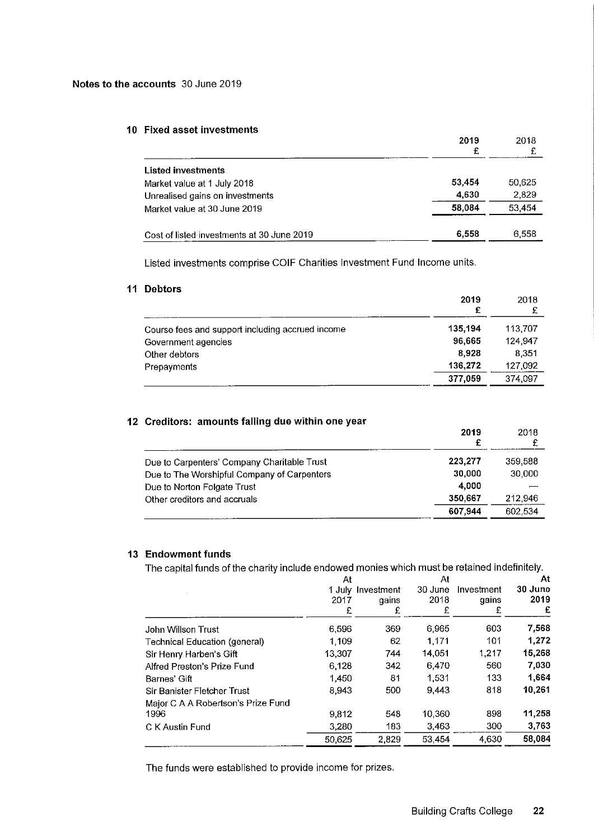## 10 FIxed asset investments

|                                            | 2019<br>£ | 2018   |
|--------------------------------------------|-----------|--------|
| <b>Listed investments</b>                  |           |        |
| Market value at 1 July 2018                | 53,454    | 50,625 |
| Unrealised gains on investments            | 4,630     | 2,829  |
| Market value at 30 June 2019               | 58.084    | 53,454 |
| Cost of listed investments at 30 June 2019 | 6,558     | 6.558  |

Listed investments comprise COIF Charities Investment Fund Income units.

#### 11 Debtors

|                                                  | 2019<br>£ | 2018    |
|--------------------------------------------------|-----------|---------|
| Course fees and support including accrued income | 135,194   | 113.707 |
| Government agencies                              | 96,665    | 124 947 |
| Other debtors                                    | 8.928     | 8.351   |
| Prepayments                                      | 136,272   | 127.092 |
|                                                  | 377,059   | 374.097 |

## 12 Creditors: amounts falling due within one year

|                                             | 2019<br>£ | 2018    |
|---------------------------------------------|-----------|---------|
| Due to Carpenters' Company Charitable Trust | 223.277   | 359.588 |
| Due to The Worshipful Company of Carpenters | 30,000    | 30,000  |
| Due to Norton Folgate Trust                 | 4.000     |         |
| Other creditors and accruals                | 350,667   | 212.946 |
|                                             | 607.944   | 602.534 |

## 13 Endowment funds

The capital funds of the charity include endowed monies which must be retained indefinitel

|                                    | At     |            | At      |            |         |
|------------------------------------|--------|------------|---------|------------|---------|
|                                    | 1 July | Investment | 30 June | Investment | 30 June |
|                                    | 2017   | qains      | 2018    | qains      | 2019    |
|                                    | £      | £          | £       | £          | £       |
| John Willson Trust                 | 6,596  | 369        | 6.965   | 603        | 7,568   |
| Technical Education (general)      | 1.109  | 62         | 1.171   | 101        | 1,272   |
| Sir Henry Harben's Gift            | 13,307 | 744        | 14,051  | 1.217      | 15,268  |
| Alfred Preston's Prize Fund        | 6.128  | 342        | 6,470   | 560        | 7,030   |
| Barnes' Gift                       | 1.450  | 81         | 1.531   | 133        | 1,664   |
| Sir Banister Fletcher Trust        | 8,943  | 500        | 9.443   | 818        | 10,261  |
| Major C A A Robertson's Prize Fund |        |            |         |            |         |
| 1996                               | 9,812  | 548        | 10.360  | 898        | 11,258  |
| C K Austin Fund                    | 3,280  | 183        | 3,463   | 300        | 3,763   |
|                                    | 50,625 | 2,829      | 53 4 54 | 4630       | 58,084  |
|                                    |        |            |         |            |         |

The funds were established to provide income for prizes.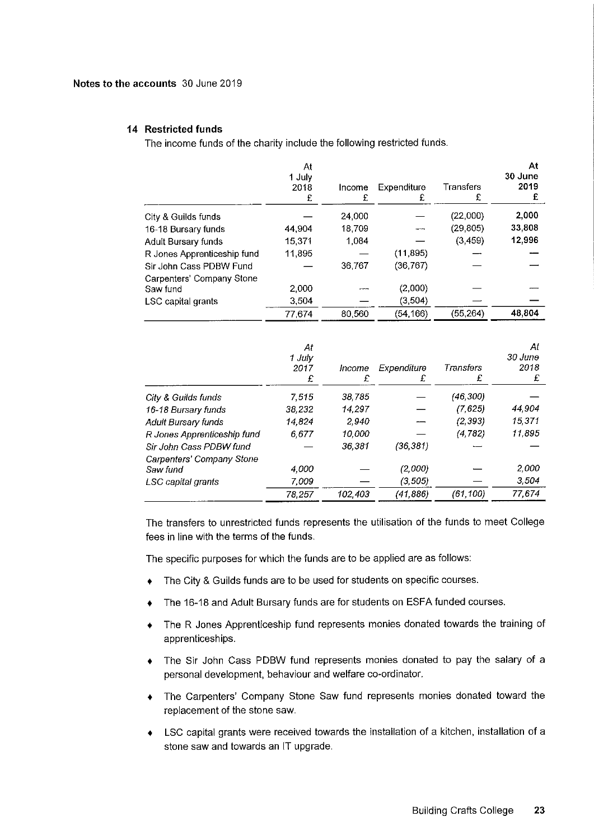## Notes to the accounts 30 June 2019

#### 14 Restricted funds

The income funds of the charity include the following restricted funds.

|                             | At<br>1 July<br>2018<br>£ | Income<br>£ | Expenditure<br>£ | Transfers<br>£ | At<br>30 June<br>2019<br>£ |
|-----------------------------|---------------------------|-------------|------------------|----------------|----------------------------|
| City & Guilds funds         |                           | 24,000      |                  | (22,000)       | 2,000                      |
| 16-18 Bursary funds         | 44.904                    | 18.709      |                  | (29, 805)      | 33,808                     |
| Adult Bursary funds         | 15.371                    | 1.084       |                  | (3,459)        | 12.996                     |
| R Jones Apprenticeship fund | 11.895                    |             | (11, 895)        |                |                            |
| Sir John Cass PDBW Fund     |                           | 36.767      | (36, 767)        |                |                            |
| Carpenters' Company Stone   |                           |             |                  |                |                            |
| Saw fund                    | 2,000                     |             | (2,000)          |                |                            |
| LSC capital grants          | 3.504                     |             | (3,504)          |                |                            |
|                             | 77 674                    | 80,560      | (54, 166)        | (55, 264)      | 48,804                     |
|                             | At                        |             |                  |                | At                         |

|                             | .<br>1 July<br>2017<br>£ | Income<br>£ | Expenditure | Transfers<br>£ | 30 June<br>2018<br>£ |
|-----------------------------|--------------------------|-------------|-------------|----------------|----------------------|
| City & Guilds funds         | 7.515                    | 38.785      |             | (46,300)       |                      |
| 16-18 Bursary funds         | 38,232                   | 14.297      |             | (7,625)        | 44,904               |
| Adult Bursary funds         | 14.824                   | 2.940       |             | (2, 393)       | 15,371               |
| R Jones Apprenticeship fund | 6,677                    | 10,000      |             | (4, 782)       | 11,895               |
| Sir John Cass PDBW fund     |                          | 36,381      | (36, 381)   |                |                      |
| Carpenters' Company Stone   |                          |             |             |                |                      |
| Saw fund                    | 4,000                    |             | (2,000)     |                | 2,000                |
| LSC capital grants          | 7.009                    |             | (3,505)     |                | 3.504                |
|                             | 78.257                   | 102,403     | (41,886)    | (61,100)       | 77,674               |

The transfers to unrestricted funds represents the utilisation of the funds to meet College fees in line with the terms of the funds.

The specific purposes for which the funds are to be applied are as follows:

- The City & Guilds funds are to be used for students on specific courses.
- The 16-18 and Adult Bursary funds are for students on ESFA funded courses.
- + The R Jones Apprenticeship fund represents monies donated towards the training of apprenticeships.
- The Sir John Cass PDBW fund represents monies donated to pay the salary of a personal development, behaviour and welfare co-ordinator.
- The Carpenters' Company Stone Saw fund represents monies donated toward the replacement of the stone saw.
- LSC capital grants were received towards the installation of a kitchen, installation of a  $\bullet$ stone saw and towards an IT upgrade.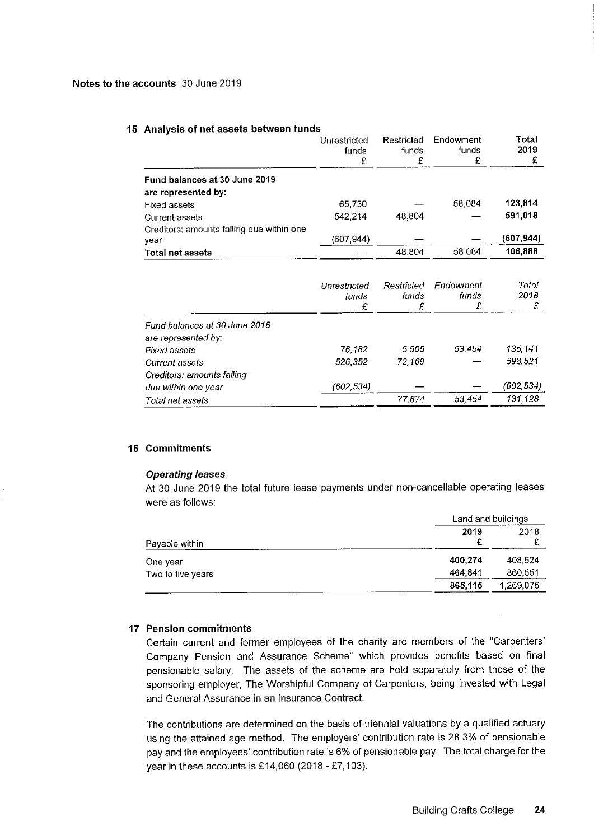#### 15 Analysis of net assets between funds

|                                                      | ------------<br>funds | funds<br>£ | funds<br>£ | 2019      |
|------------------------------------------------------|-----------------------|------------|------------|-----------|
| Fund balances at 30 June 2019<br>are represented by: |                       |            |            |           |
| Fixed assets                                         | 65 730                |            | 58,084     | 123,814   |
| <b>Current assets</b>                                | 542 214               | 48.804     |            | 591.018   |
| Creditors: amounts falling due within one<br>year    | (607.944)             |            |            | (607.944) |
| <b>Total net assets</b>                              |                       | 48.804     | 58,084     | 106.888   |

Unrestricted

Restricted Endowment Total

|                                     | Unrestricted<br>funds<br>£ | Restricted<br>funds<br>£ | Endowment<br>funds<br>£ | Total<br>2018<br>£ |
|-------------------------------------|----------------------------|--------------------------|-------------------------|--------------------|
| Fund balances at 30 June 2018       |                            |                          |                         |                    |
| are represented by:<br>Fixed assets | 76 182                     | 5.505                    | 53.454                  | 135 141            |
| Current assets                      | 526,352                    | 72.169                   |                         | 598.521            |
| Creditors: amounts falling          |                            |                          |                         |                    |
| due within one year                 | (602,534)                  |                          |                         | (602, 534)         |
| Total net assets                    |                            | 77.674                   | 53.454                  | 131,128            |

## 16 Commitments

#### Operating leases

At 30 June 2019 the total future lease payments under non-cancellable operating leases were as follows:

|                   |         | Land and buildings |  |
|-------------------|---------|--------------------|--|
| Payable within    | 2019    | 2018               |  |
| One year          | 400.274 | 408 524            |  |
| Two to five years | 464,841 | 860,551            |  |
|                   | 865.115 | 1,269,075          |  |

## 17 Pension commitments

Certain current and former employees of the charity are members of the "Carpenters' Company Pension and Assurance Scheme" which provides benefits based on final pensionable salary. The assets of the scheme are held separately from those of the sponsoring employer, The Worshipful Company of Carpenters, being invested with Legal and General Assurance in an Insurance Contract.

The contributions are determined on the basis of triennial valuations by a qualified actuary using the attained age method. The employers' contribution rate is 28.3% of pensionable pay and the employees' contribution rate is 6% of pensionable pay. The total charge for the year in these accounts is £14,060 (2018 - £7,103).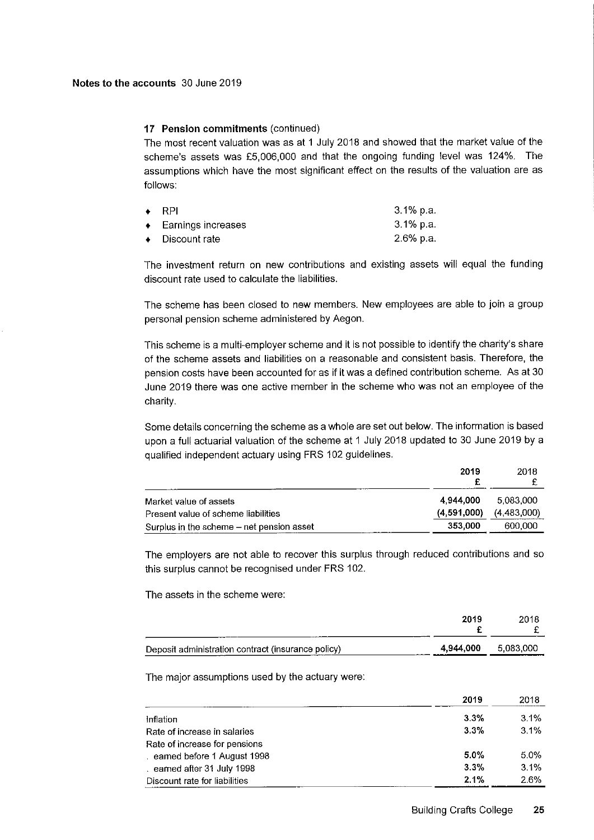## 17 Pension commitments (continued)

The most recent valuation was as at <sup>1</sup> July 2018 and showed that the market value of the scheme's assets was f5, 006,000 and that the ongoing funding level was 124%. The assumptions which have the most significant effect on the results of the valuation are as follows:

| $\bullet$ RPI                   | -3.1% p.a.   |
|---------------------------------|--------------|
| $\leftarrow$ Earnings increases | $3.1\%$ p.a. |
| $\bullet$ Discount rate         | -2.6% p.a.   |

The investment return on new contributions and existing assets will equal the funding discount rate used to calculate the liabilities.

The scheme has been closed to new members. New employees are able to join a group personal pension scheme administered by Aegon.

This scheme is a multi-employer scheme and it is not possible to identify the charity's share of the scheme assets and liabilities on a reasonable and consistent basis. Therefore, the pension costs have been accounted for as if it was a defined contribution scheme. As at 30 June 2019 there was one active member in the scheme who was not an employee of the charity.

Some details concerning the scheme as a whole are set out below. The information is based upon a full actuarial valuation of the scheme at <sup>1</sup> July 2018 updated to 30 June 2019 by a qualified independent actuary using FRS 102 guidelines.

|                                           | 2019        | 2018        |
|-------------------------------------------|-------------|-------------|
| Market value of assets                    | 4.944.000   | 5.083.000   |
| Present value of scheme liabilities       | (4.591,000) | (4,483,000) |
| Surplus in the scheme - net pension asset | 353.000     | 600,000     |

The employers are not able to recover this surplus through reduced contributions and so this surplus cannot be recognised under FRS 102.

The assets in the scheme were:

|                                                    | 2019                | 2018 |
|----------------------------------------------------|---------------------|------|
| Deposit administration contract (insurance policy) | 4,944,000 5,083,000 |      |

The major assumptions used by the actuary were:

|                               | 2019 | 2018 |
|-------------------------------|------|------|
| Inflation                     | 3.3% | 3.1% |
| Rate of increase in salaries  | 3.3% | 3.1% |
| Rate of increase for pensions |      |      |
| . earned before 1 August 1998 | 5.0% | 5.0% |
| earned after 31 July 1998     | 3.3% | 3.1% |
| Discount rate for liabilities | 2.1% | 2.6% |